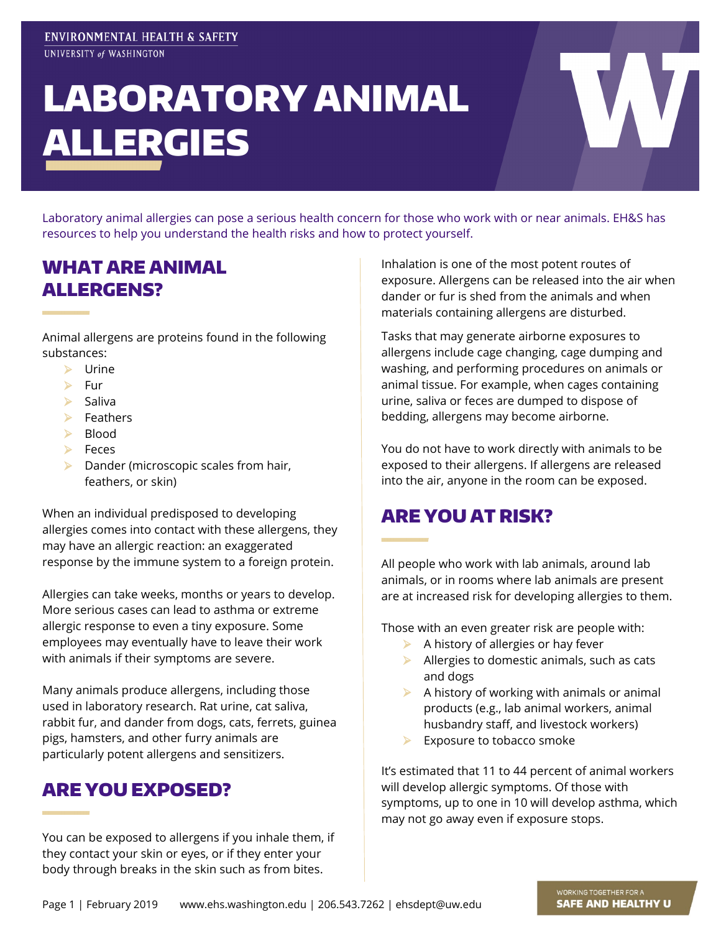# LABORATORY ANIMAL ALLERGIES

Laboratory animal allergies can pose a serious health concern for those who work with or near animals. EH&S has resources to help you understand the health risks and how to protect yourself.

## WHAT ARE ANIMAL ALLERGENS?

Animal allergens are proteins found in the following substances:

- $\triangleright$  Urine
- $\triangleright$  Fur
- $\triangleright$  Saliva
- **E**PATHPIS
- $\triangleright$  Blood
- $\triangleright$  Feces
- $\triangleright$  Dander (microscopic scales from hair, feathers, or skin)

When an individual predisposed to developing allergies comes into contact with these allergens, they may have an allergic reaction: an exaggerated response by the immune system to a foreign protein.

Allergies can take weeks, months or years to develop. More serious cases can lead to asthma or extreme allergic response to even a tiny exposure. Some employees may eventually have to leave their work with animals if their symptoms are severe.

Many animals produce allergens, including those used in laboratory research. Rat urine, cat saliva, rabbit fur, and dander from dogs, cats, ferrets, guinea pigs, hamsters, and other furry animals are particularly potent allergens and sensitizers.

# ARE YOU EXPOSED?

You can be exposed to allergens if you inhale them, if they contact your skin or eyes, or if they enter your body through breaks in the skin such as from bites.

Inhalation is one of the most potent routes of exposure. Allergens can be released into the air when dander or fur is shed from the animals and when materials containing allergens are disturbed.

Tasks that may generate airborne exposures to allergens include cage changing, cage dumping and washing, and performing procedures on animals or animal tissue. For example, when cages containing urine, saliva or feces are dumped to dispose of bedding, allergens may become airborne.

You do not have to work directly with animals to be exposed to their allergens. If allergens are released into the air, anyone in the room can be exposed.

# ARE YOU AT RISK?

All people who work with lab animals, around lab animals, or in rooms where lab animals are present are at increased risk for developing allergies to them.

Those with an even greater risk are people with:

- $\blacktriangleright$  A history of allergies or hay fever
- $\blacktriangleright$  Allergies to domestic animals, such as cats and dogs
- $\triangleright$  A history of working with animals or animal products (e.g., lab animal workers, animal husbandry staff, and livestock workers)
- $\triangleright$  Exposure to tobacco smoke

It's estimated that 11 to 44 percent of animal workers will develop allergic symptoms. Of those with symptoms, up to one in 10 will develop asthma, which may not go away even if exposure stops.